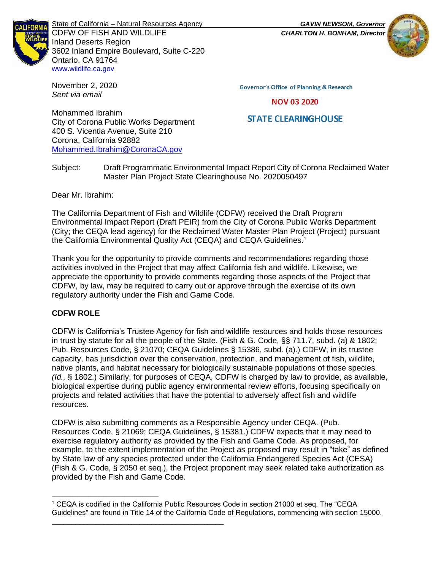

State of California – Natural Resources Agency *GAVIN NEWSOM, Governor* CDFW OF FISH AND WILDLIFE *CHARLTON H. BONHAM, Director* Inland Deserts Region 3602 Inland Empire Boulevard, Suite C-220 Ontario, CA 91764 [www.wildlife.ca.gov](http://www.cdfw.ca.gov/)

November 2, 2020 *Sent via email*

**Governor's Office of Planning & Research** 

**NOV 03 2020** 

# **STATE CLEARINGHOUSE**

Mohammed Ibrahim City of Corona Public Works Department 400 S. Vicentia Avenue, Suite 210 Corona, California 92882 [Mohammed.Ibrahim@CoronaCA.gov](mailto:Mohammed.Ibrahim@CoronaCA.gov)

Subject: Draft Programmatic Environmental Impact Report City of Corona Reclaimed Water Master Plan Project State Clearinghouse No. 2020050497

Dear Mr. Ibrahim:

The California Department of Fish and Wildlife (CDFW) received the Draft Program Environmental Impact Report (Draft PEIR) from the City of Corona Public Works Department (City; the CEQA lead agency) for the Reclaimed Water Master Plan Project (Project) pursuant the California Environmental Quality Act (CEQA) and CEQA Guidelines.<sup>1</sup>

Thank you for the opportunity to provide comments and recommendations regarding those activities involved in the Project that may affect California fish and wildlife. Likewise, we appreciate the opportunity to provide comments regarding those aspects of the Project that CDFW, by law, may be required to carry out or approve through the exercise of its own regulatory authority under the Fish and Game Code.

# **CDFW ROLE**

\_\_\_\_\_\_\_\_\_\_\_\_\_\_\_\_\_\_\_\_\_\_\_\_\_\_\_\_\_\_\_\_\_\_\_\_\_\_\_\_\_

\_\_\_\_\_\_\_\_\_\_\_\_\_\_\_\_\_\_\_\_\_\_\_\_\_\_\_\_\_\_\_\_\_\_\_\_\_\_\_\_\_\_\_

CDFW is California's Trustee Agency for fish and wildlife resources and holds those resources in trust by statute for all the people of the State. (Fish & G. Code, §§ 711.7, subd. (a) & 1802; Pub. Resources Code, § 21070; CEQA Guidelines § 15386, subd. (a).) CDFW, in its trustee capacity, has jurisdiction over the conservation, protection, and management of fish, wildlife, native plants, and habitat necessary for biologically sustainable populations of those species. *(Id.,* § 1802.) Similarly, for purposes of CEQA, CDFW is charged by law to provide, as available, biological expertise during public agency environmental review efforts, focusing specifically on projects and related activities that have the potential to adversely affect fish and wildlife resources.

CDFW is also submitting comments as a Responsible Agency under CEQA. (Pub. Resources Code, § 21069; CEQA Guidelines, § 15381.) CDFW expects that it may need to exercise regulatory authority as provided by the Fish and Game Code. As proposed, for example, to the extent implementation of the Project as proposed may result in "take" as defined by State law of any species protected under the California Endangered Species Act (CESA) (Fish & G. Code, § 2050 et seq.), the Project proponent may seek related take authorization as provided by the Fish and Game Code.





<sup>1</sup> CEQA is codified in the California Public Resources Code in section 21000 et seq. The "CEQA Guidelines" are found in Title 14 of the California Code of Regulations, commencing with section 15000.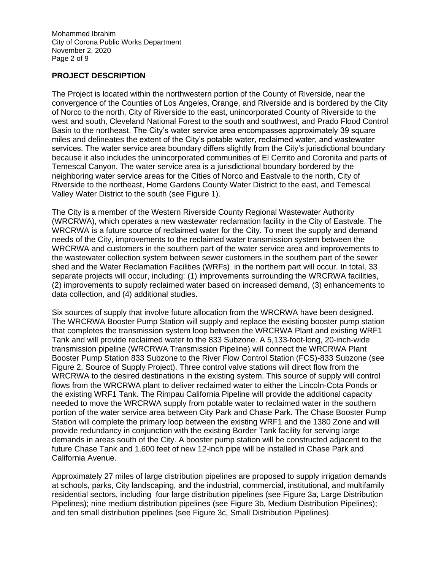Mohammed Ibrahim City of Corona Public Works Department November 2, 2020 Page 2 of 9

# **PROJECT DESCRIPTION**

The Project is located within the northwestern portion of the County of Riverside, near the convergence of the Counties of Los Angeles, Orange, and Riverside and is bordered by the City of Norco to the north, City of Riverside to the east, unincorporated County of Riverside to the west and south, Cleveland National Forest to the south and southwest, and Prado Flood Control Basin to the northeast. The City's water service area encompasses approximately 39 square miles and delineates the extent of the City's potable water, reclaimed water, and wastewater services. The water service area boundary differs slightly from the City's jurisdictional boundary because it also includes the unincorporated communities of El Cerrito and Coronita and parts of Temescal Canyon. The water service area is a jurisdictional boundary bordered by the neighboring water service areas for the Cities of Norco and Eastvale to the north, City of Riverside to the northeast, Home Gardens County Water District to the east, and Temescal Valley Water District to the south (see Figure 1).

The City is a member of the Western Riverside County Regional Wastewater Authority (WRCRWA), which operates a new wastewater reclamation facility in the City of Eastvale. The WRCRWA is a future source of reclaimed water for the City. To meet the supply and demand needs of the City, improvements to the reclaimed water transmission system between the WRCRWA and customers in the southern part of the water service area and improvements to the wastewater collection system between sewer customers in the southern part of the sewer shed and the Water Reclamation Facilities (WRFs) in the northern part will occur. In total, 33 separate projects will occur, including: (1) improvements surrounding the WRCRWA facilities, (2) improvements to supply reclaimed water based on increased demand, (3) enhancements to data collection, and (4) additional studies.

Six sources of supply that involve future allocation from the WRCRWA have been designed. The WRCRWA Booster Pump Station will supply and replace the existing booster pump station that completes the transmission system loop between the WRCRWA Plant and existing WRF1 Tank and will provide reclaimed water to the 833 Subzone. A 5,133-foot-long, 20-inch-wide transmission pipeline (WRCRWA Transmission Pipeline) will connect the WRCRWA Plant Booster Pump Station 833 Subzone to the River Flow Control Station (FCS)-833 Subzone (see Figure 2, Source of Supply Project). Three control valve stations will direct flow from the WRCRWA to the desired destinations in the existing system. This source of supply will control flows from the WRCRWA plant to deliver reclaimed water to either the Lincoln-Cota Ponds or the existing WRF1 Tank. The Rimpau California Pipeline will provide the additional capacity needed to move the WRCRWA supply from potable water to reclaimed water in the southern portion of the water service area between City Park and Chase Park. The Chase Booster Pump Station will complete the primary loop between the existing WRF1 and the 1380 Zone and will provide redundancy in conjunction with the existing Border Tank facility for serving large demands in areas south of the City. A booster pump station will be constructed adjacent to the future Chase Tank and 1,600 feet of new 12-inch pipe will be installed in Chase Park and California Avenue.

Approximately 27 miles of large distribution pipelines are proposed to supply irrigation demands at schools, parks, City landscaping, and the industrial, commercial, institutional, and multifamily residential sectors, including four large distribution pipelines (see Figure 3a, Large Distribution Pipelines); nine medium distribution pipelines (see Figure 3b, Medium Distribution Pipelines); and ten small distribution pipelines (see Figure 3c, Small Distribution Pipelines).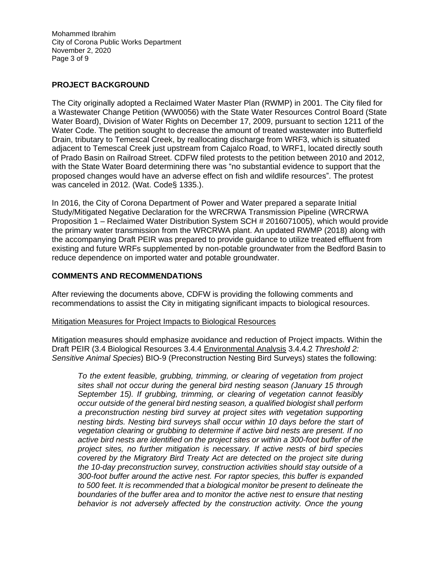Mohammed Ibrahim City of Corona Public Works Department November 2, 2020 Page 3 of 9

# **PROJECT BACKGROUND**

The City originally adopted a Reclaimed Water Master Plan (RWMP) in 2001. The City filed for a Wastewater Change Petition (WW0056) with the State Water Resources Control Board (State Water Board), Division of Water Rights on December 17, 2009, pursuant to section 1211 of the Water Code. The petition sought to decrease the amount of treated wastewater into Butterfield Drain, tributary to Temescal Creek, by reallocating discharge from WRF3, which is situated adjacent to Temescal Creek just upstream from Cajalco Road, to WRF1, located directly south of Prado Basin on Railroad Street. CDFW filed protests to the petition between 2010 and 2012, with the State Water Board determining there was "no substantial evidence to support that the proposed changes would have an adverse effect on fish and wildlife resources". The protest was canceled in 2012. (Wat. Code§ 1335.).

In 2016, the City of Corona Department of Power and Water prepared a separate Initial Study/Mitigated Negative Declaration for the WRCRWA Transmission Pipeline (WRCRWA Proposition 1 – Reclaimed Water Distribution System SCH # 2016071005), which would provide the primary water transmission from the WRCRWA plant. An updated RWMP (2018) along with the accompanying Draft PEIR was prepared to provide guidance to utilize treated effluent from existing and future WRFs supplemented by non-potable groundwater from the Bedford Basin to reduce dependence on imported water and potable groundwater.

### **COMMENTS AND RECOMMENDATIONS**

After reviewing the documents above, CDFW is providing the following comments and recommendations to assist the City in mitigating significant impacts to biological resources.

#### Mitigation Measures for Project Impacts to Biological Resources

Mitigation measures should emphasize avoidance and reduction of Project impacts. Within the Draft PEIR (3.4 Biological Resources 3.4.4 Environmental Analysis 3.4.4.2 *Threshold 2: Sensitive Animal Species*) BIO-9 (Preconstruction Nesting Bird Surveys) states the following:

*To the extent feasible, grubbing, trimming, or clearing of vegetation from project sites shall not occur during the general bird nesting season (January 15 through September 15). If grubbing, trimming, or clearing of vegetation cannot feasibly occur outside of the general bird nesting season, a qualified biologist shall perform a preconstruction nesting bird survey at project sites with vegetation supporting nesting birds. Nesting bird surveys shall occur within 10 days before the start of vegetation clearing or grubbing to determine if active bird nests are present. If no active bird nests are identified on the project sites or within a 300-foot buffer of the project sites, no further mitigation is necessary. If active nests of bird species covered by the Migratory Bird Treaty Act are detected on the project site during the 10-day preconstruction survey, construction activities should stay outside of a 300-foot buffer around the active nest. For raptor species, this buffer is expanded to 500 feet. It is recommended that a biological monitor be present to delineate the boundaries of the buffer area and to monitor the active nest to ensure that nesting*  behavior is not adversely affected by the construction activity. Once the young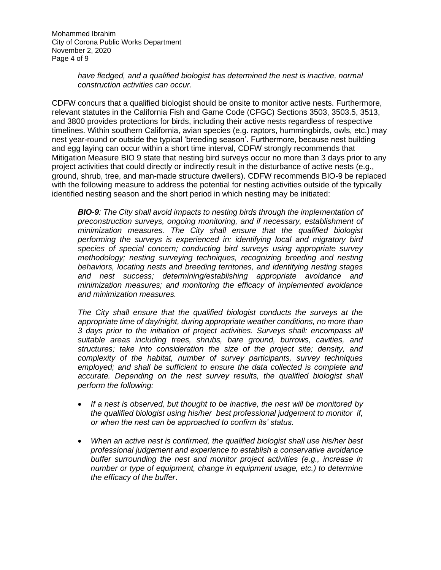Mohammed Ibrahim City of Corona Public Works Department November 2, 2020 Page 4 of 9

### *have fledged, and a qualified biologist has determined the nest is inactive, normal construction activities can occur*.

CDFW concurs that a qualified biologist should be onsite to monitor active nests. Furthermore, relevant statutes in the California Fish and Game Code (CFGC) Sections 3503, 3503.5, 3513, and 3800 provides protections for birds, including their active nests regardless of respective timelines. Within southern California, avian species (e.g. raptors, hummingbirds, owls, etc.) may nest year-round or outside the typical 'breeding season'. Furthermore, because nest building and egg laying can occur within a short time interval, CDFW strongly recommends that Mitigation Measure BIO 9 state that nesting bird surveys occur no more than 3 days prior to any project activities that could directly or indirectly result in the disturbance of active nests (e.g., ground, shrub, tree, and man-made structure dwellers). CDFW recommends BIO-9 be replaced with the following measure to address the potential for nesting activities outside of the typically identified nesting season and the short period in which nesting may be initiated:

*BIO-9: The City shall avoid impacts to nesting birds through the implementation of preconstruction surveys, ongoing monitoring, and if necessary, establishment of minimization measures. The City shall ensure that the qualified biologist performing the surveys is experienced in: identifying local and migratory bird species of special concern; conducting bird surveys using appropriate survey methodology; nesting surveying techniques, recognizing breeding and nesting behaviors, locating nests and breeding territories, and identifying nesting stages and nest success; determining/establishing appropriate avoidance and minimization measures; and monitoring the efficacy of implemented avoidance and minimization measures.*

*The City shall ensure that the qualified biologist conducts the surveys at the appropriate time of day/night, during appropriate weather conditions, no more than 3 days prior to the initiation of project activities. Surveys shall: encompass all suitable areas including trees, shrubs, bare ground, burrows, cavities, and structures; take into consideration the size of the project site; density, and complexity of the habitat, number of survey participants, survey techniques employed; and shall be sufficient to ensure the data collected is complete and accurate. Depending on the nest survey results, the qualified biologist shall perform the following:* 

- If a nest is observed, but thought to be inactive, the nest will be monitored by *the qualified biologist using his/her best professional judgement to monitor if, or when the nest can be approached to confirm its' status.*
- *When an active nest is confirmed, the qualified biologist shall use his/her best professional judgement and experience to establish a conservative avoidance buffer surrounding the nest and monitor project activities (e.g., increase in number or type of equipment, change in equipment usage, etc.) to determine the efficacy of the buffer*.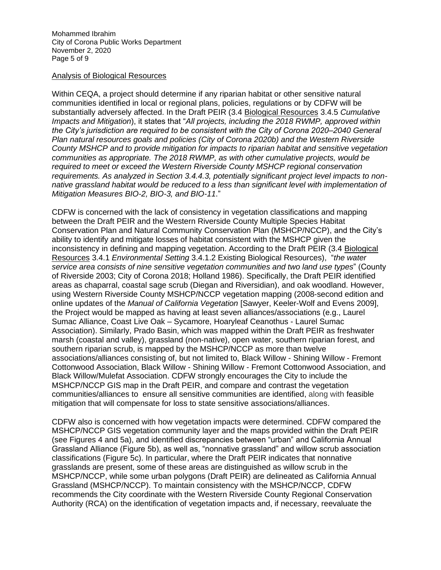Mohammed Ibrahim City of Corona Public Works Department November 2, 2020 Page 5 of 9

#### Analysis of Biological Resources

Within CEQA, a project should determine if any riparian habitat or other sensitive natural communities identified in local or regional plans, policies, regulations or by CDFW will be substantially adversely affected. In the Draft PEIR (3.4 Biological Resources 3.4.5 *Cumulative Impacts and Mitigation*), it states that "*All projects, including the 2018 RWMP, approved within the City's jurisdiction are required to be consistent with the City of Corona 2020–2040 General Plan natural resources goals and policies (City of Corona 2020b) and the Western Riverside County MSHCP and to provide mitigation for impacts to riparian habitat and sensitive vegetation communities as appropriate. The 2018 RWMP, as with other cumulative projects, would be required to meet or exceed the Western Riverside County MSHCP regional conservation requirements. As analyzed in Section 3.4.4.3, potentially significant project level impacts to nonnative grassland habitat would be reduced to a less than significant level with implementation of Mitigation Measures BIO-2, BIO-3, and BIO-11*."

CDFW is concerned with the lack of consistency in vegetation classifications and mapping between the Draft PEIR and the Western Riverside County Multiple Species Habitat Conservation Plan and Natural Community Conservation Plan (MSHCP/NCCP), and the City's ability to identify and mitigate losses of habitat consistent with the MSHCP given the inconsistency in defining and mapping vegetation. According to the Draft PEIR (3.4 Biological Resources 3.4.1 *Environmental Setting* 3.4.1.2 Existing Biological Resources), "*the water service area consists of nine sensitive vegetation communities and two land use types*" (County of Riverside 2003; City of Corona 2018; Holland 1986). Specifically, the Draft PEIR identified areas as chaparral, coastal sage scrub (Diegan and Riversidian), and oak woodland. However, using Western Riverside County MSHCP/NCCP vegetation mapping (2008-second edition and online updates of the *Manual of California Vegetation* [Sawyer, Keeler-Wolf and Evens 2009], the Project would be mapped as having at least seven alliances/associations (e.g., Laurel Sumac Alliance, Coast Live Oak – Sycamore, Hoaryleaf Ceanothus - Laurel Sumac Association). Similarly, Prado Basin, which was mapped within the Draft PEIR as freshwater marsh (coastal and valley), grassland (non-native), open water, southern riparian forest, and southern riparian scrub, is mapped by the MSHCP/NCCP as more than twelve associations/alliances consisting of, but not limited to, Black Willow - Shining Willow - Fremont Cottonwood Association, Black Willow - Shining Willow - Fremont Cottonwood Association, and Black Willow/Mulefat Association. CDFW strongly encourages the City to include the MSHCP/NCCP GIS map in the Draft PEIR, and compare and contrast the vegetation communities/alliances to ensure all sensitive communities are identified, along with feasible mitigation that will compensate for loss to state sensitive associations/alliances.

CDFW also is concerned with how vegetation impacts were determined. CDFW compared the MSHCP/NCCP GIS vegetation community layer and the maps provided within the Draft PEIR (see Figures 4 and 5a), and identified discrepancies between "urban" and California Annual Grassland Alliance (Figure 5b), as well as, "nonnative grassland" and willow scrub association classifications (Figure 5c). In particular, where the Draft PEIR indicates that nonnative grasslands are present, some of these areas are distinguished as willow scrub in the MSHCP/NCCP, while some urban polygons (Draft PEIR) are delineated as California Annual Grassland (MSHCP/NCCP). To maintain consistency with the MSHCP/NCCP, CDFW recommends the City coordinate with the Western Riverside County Regional Conservation Authority (RCA) on the identification of vegetation impacts and, if necessary, reevaluate the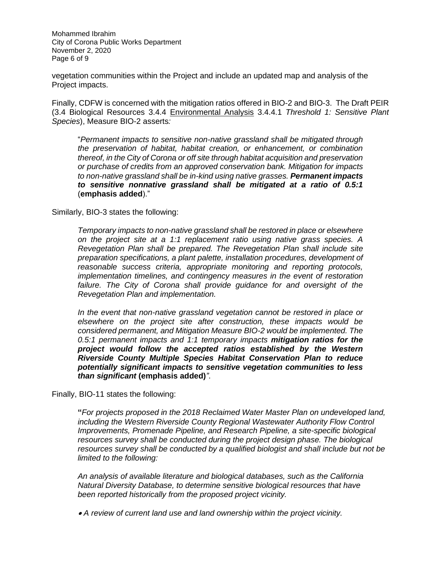Mohammed Ibrahim City of Corona Public Works Department November 2, 2020 Page 6 of 9

vegetation communities within the Project and include an updated map and analysis of the Project impacts.

Finally, CDFW is concerned with the mitigation ratios offered in BIO-2 and BIO-3. The Draft PEIR (3.4 Biological Resources 3.4.4 Environmental Analysis 3.4.4.1 *Threshold 1: Sensitive Plant Species*), Measure BIO-2 asserts*:* 

"*Permanent impacts to sensitive non-native grassland shall be mitigated through the preservation of habitat, habitat creation, or enhancement, or combination thereof, in the City of Corona or off site through habitat acquisition and preservation or purchase of credits from an approved conservation bank. Mitigation for impacts to non-native grassland shall be in-kind using native grasses. Permanent impacts to sensitive nonnative grassland shall be mitigated at a ratio of 0.5:1* (**emphasis added**)."

#### Similarly, BIO-3 states the following:

*Temporary impacts to non-native grassland shall be restored in place or elsewhere on the project site at a 1:1 replacement ratio using native grass species. A Revegetation Plan shall be prepared. The Revegetation Plan shall include site preparation specifications, a plant palette, installation procedures, development of reasonable success criteria, appropriate monitoring and reporting protocols, implementation timelines, and contingency measures in the event of restoration*  failure. The City of Corona shall provide guidance for and oversight of the *Revegetation Plan and implementation.*

*In the event that non-native grassland vegetation cannot be restored in place or elsewhere on the project site after construction, these impacts would be considered permanent, and Mitigation Measure BIO-2 would be implemented. The 0.5:1 permanent impacts and 1:1 temporary impacts mitigation ratios for the project would follow the accepted ratios established by the Western Riverside County Multiple Species Habitat Conservation Plan to reduce potentially significant impacts to sensitive vegetation communities to less than significant* **(emphasis added)***"*.

Finally, BIO-11 states the following:

**"***For projects proposed in the 2018 Reclaimed Water Master Plan on undeveloped land, including the Western Riverside County Regional Wastewater Authority Flow Control Improvements, Promenade Pipeline, and Research Pipeline, a site-specific biological resources survey shall be conducted during the project design phase. The biological resources survey shall be conducted by a qualified biologist and shall include but not be limited to the following:*

*An analysis of available literature and biological databases, such as the California Natural Diversity Database, to determine sensitive biological resources that have been reported historically from the proposed project vicinity.*

• *A review of current land use and land ownership within the project vicinity.*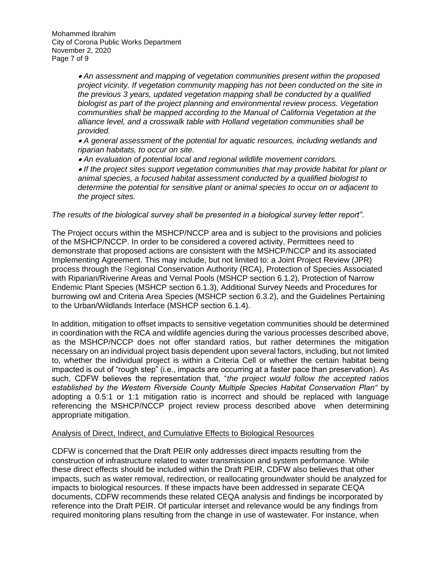Mohammed Ibrahim City of Corona Public Works Department November 2, 2020 Page 7 of 9

> • *An assessment and mapping of vegetation communities present within the proposed project vicinity. If vegetation community mapping has not been conducted on the site in the previous 3 years, updated vegetation mapping shall be conducted by a qualified biologist as part of the project planning and environmental review process. Vegetation communities shall be mapped according to the Manual of California Vegetation at the alliance level, and a crosswalk table with Holland vegetation communities shall be provided.*

• *A general assessment of the potential for aquatic resources, including wetlands and riparian habitats, to occur on site.*

• *An evaluation of potential local and regional wildlife movement corridors.*

• *If the project sites support vegetation communities that may provide habitat for plant or animal species, a focused habitat assessment conducted by a qualified biologist to determine the potential for sensitive plant or animal species to occur on or adjacent to the project sites.*

*The results of the biological survey shall be presented in a biological survey letter report"*.

The Project occurs within the MSHCP/NCCP area and is subject to the provisions and policies of the MSHCP/NCCP. In order to be considered a covered activity, Permittees need to demonstrate that proposed actions are consistent with the MSHCP/NCCP and its associated Implementing Agreement. This may include, but not limited to: a Joint Project Review (JPR) process through the Regional Conservation Authority (RCA), Protection of Species Associated with Riparian/Riverine Areas and Vernal Pools (MSHCP section 6.1.2), Protection of Narrow Endemic Plant Species (MSHCP section 6.1.3), Additional Survey Needs and Procedures for burrowing owl and Criteria Area Species (MSHCP section 6.3.2), and the Guidelines Pertaining to the Urban/Wildlands Interface (MSHCP section 6.1.4).

In addition, mitigation to offset impacts to sensitive vegetation communities should be determined in coordination with the RCA and wildlife agencies during the various processes described above, as the MSHCP/NCCP does not offer standard ratios, but rather determines the mitigation necessary on an individual project basis dependent upon several factors, including, but not limited to, whether the individual project is within a Criteria Cell or whether the certain habitat being impacted is out of "rough step" (i.e., impacts are occurring at a faster pace than preservation). As such, CDFW believes the representation that, "*the project would follow the accepted ratios established by the Western Riverside County Multiple Species Habitat Conservation Plan"* by adopting a 0.5:1 or 1:1 mitigation ratio is incorrect and should be replaced with language referencing the MSHCP/NCCP project review process described above when determining appropriate mitigation.

#### Analysis of Direct, Indirect, and Cumulative Effects to Biological Resources

CDFW is concerned that the Draft PEIR only addresses direct impacts resulting from the construction of infrastructure related to water transmission and system performance. While these direct effects should be included within the Draft PEIR, CDFW also believes that other impacts, such as water removal, redirection, or reallocating groundwater should be analyzed for impacts to biological resources. If these impacts have been addressed in separate CEQA documents, CDFW recommends these related CEQA analysis and findings be incorporated by reference into the Draft PEIR. Of particular interset and relevance would be any findings from required monitoring plans resulting from the change in use of wastewater. For instance, when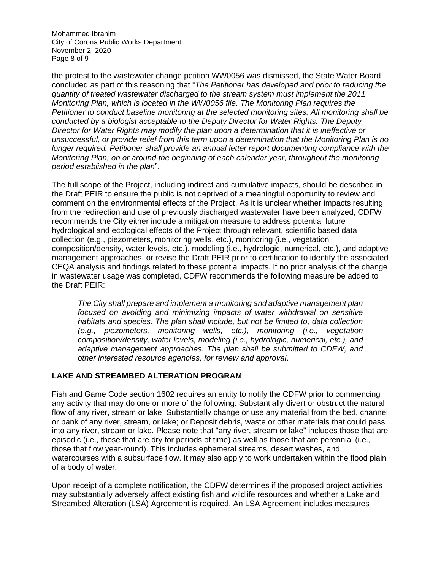Mohammed Ibrahim City of Corona Public Works Department November 2, 2020 Page 8 of 9

the protest to the wastewater change petition WW0056 was dismissed, the State Water Board concluded as part of this reasoning that "*The Petitioner has developed and prior to reducing the quantity of treated wastewater discharged to the stream system must implement the 2011 Monitoring Plan, which is located in the WW0056 file. The Monitoring Plan requires the Petitioner to conduct baseline monitoring at the selected monitoring sites. All monitoring shall be conducted by a biologist acceptable to the Deputy Director for Water Rights. The Deputy Director for Water Rights may modify the plan upon a determination that it is ineffective or unsuccessful, or provide relief from this term upon a determination that the Monitoring Plan is no longer required. Petitioner shall provide an annual letter report documenting compliance with the Monitoring Plan, on or around the beginning of each calendar year, throughout the monitoring period established in the plan*".

The full scope of the Project, including indirect and cumulative impacts, should be described in the Draft PEIR to ensure the public is not deprived of a meaningful opportunity to review and comment on the environmental effects of the Project. As it is unclear whether impacts resulting from the redirection and use of previously discharged wastewater have been analyzed, CDFW recommends the City either include a mitigation measure to address potential future hydrological and ecological effects of the Project through relevant, scientific based data collection (e.g., piezometers, monitoring wells, etc.), monitoring (i.e., vegetation composition/density, water levels, etc.), modeling (i.e., hydrologic, numerical, etc.), and adaptive management approaches, or revise the Draft PEIR prior to certification to identify the associated CEQA analysis and findings related to these potential impacts. If no prior analysis of the change in wastewater usage was completed, CDFW recommends the following measure be added to the Draft PEIR:

*The City shall prepare and implement a monitoring and adaptive management plan focused on avoiding and minimizing impacts of water withdrawal on sensitive habitats and species. The plan shall include, but not be limited to, data collection (e.g., piezometers, monitoring wells, etc.), monitoring (i.e., vegetation composition/density, water levels, modeling (i.e., hydrologic, numerical, etc.), and adaptive management approaches. The plan shall be submitted to CDFW, and other interested resource agencies, for review and approval*.

### **LAKE AND STREAMBED ALTERATION PROGRAM**

Fish and Game Code section 1602 requires an entity to notify the CDFW prior to commencing any activity that may do one or more of the following: Substantially divert or obstruct the natural flow of any river, stream or lake; Substantially change or use any material from the bed, channel or bank of any river, stream, or lake; or Deposit debris, waste or other materials that could pass into any river, stream or lake. Please note that "any river, stream or lake" includes those that are episodic (i.e., those that are dry for periods of time) as well as those that are perennial (i.e., those that flow year-round). This includes ephemeral streams, desert washes, and watercourses with a subsurface flow. It may also apply to work undertaken within the flood plain of a body of water.

Upon receipt of a complete notification, the CDFW determines if the proposed project activities may substantially adversely affect existing fish and wildlife resources and whether a Lake and Streambed Alteration (LSA) Agreement is required. An LSA Agreement includes measures